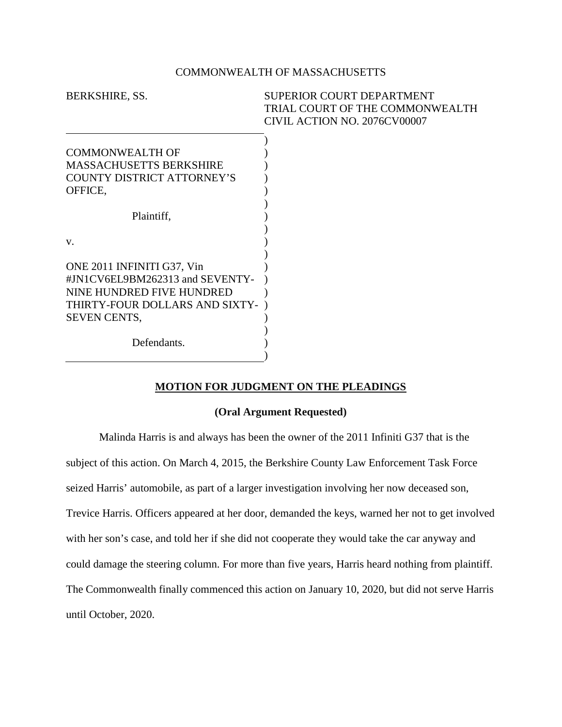## COMMONWEALTH OF MASSACHUSETTS

| BERKSHIRE, SS.                    | <b>SUPERIOR COURT DEPARTMENT</b> |
|-----------------------------------|----------------------------------|
|                                   | TRIAL COURT OF THE COMMONWEALTH  |
|                                   | CIVIL ACTION NO. 2076CV00007     |
|                                   |                                  |
| <b>COMMONWEALTH OF</b>            |                                  |
| <b>MASSACHUSETTS BERKSHIRE</b>    |                                  |
| <b>COUNTY DISTRICT ATTORNEY'S</b> |                                  |
| OFFICE,                           |                                  |
|                                   |                                  |
| Plaintiff,                        |                                  |
|                                   |                                  |
| V.                                |                                  |
|                                   |                                  |
| ONE 2011 INFINITI G37, Vin        |                                  |
| #JN1CV6EL9BM262313 and SEVENTY-   |                                  |
| NINE HUNDRED FIVE HUNDRED         |                                  |
| THIRTY-FOUR DOLLARS AND SIXTY-    |                                  |
| <b>SEVEN CENTS,</b>               |                                  |
|                                   |                                  |
| Defendants.                       |                                  |
|                                   |                                  |

## **MOTION FOR JUDGMENT ON THE PLEADINGS**

## **(Oral Argument Requested)**

Malinda Harris is and always has been the owner of the 2011 Infiniti G37 that is the subject of this action. On March 4, 2015, the Berkshire County Law Enforcement Task Force seized Harris' automobile, as part of a larger investigation involving her now deceased son, Trevice Harris. Officers appeared at her door, demanded the keys, warned her not to get involved with her son's case, and told her if she did not cooperate they would take the car anyway and could damage the steering column. For more than five years, Harris heard nothing from plaintiff. The Commonwealth finally commenced this action on January 10, 2020, but did not serve Harris until October, 2020.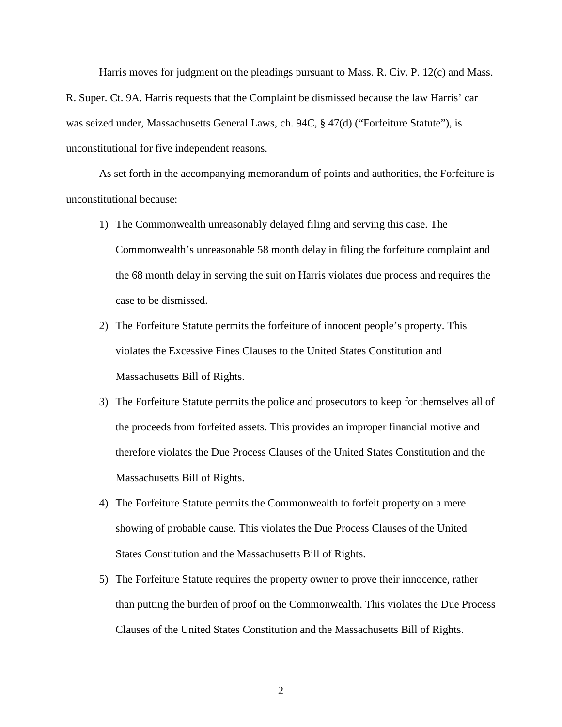Harris moves for judgment on the pleadings pursuant to Mass. R. Civ. P. 12(c) and Mass. R. Super. Ct. 9A. Harris requests that the Complaint be dismissed because the law Harris' car was seized under, Massachusetts General Laws, ch. 94C, § 47(d) ("Forfeiture Statute"), is unconstitutional for five independent reasons.

As set forth in the accompanying memorandum of points and authorities, the Forfeiture is unconstitutional because:

- 1) The Commonwealth unreasonably delayed filing and serving this case. The Commonwealth's unreasonable 58 month delay in filing the forfeiture complaint and the 68 month delay in serving the suit on Harris violates due process and requires the case to be dismissed.
- 2) The Forfeiture Statute permits the forfeiture of innocent people's property. This violates the Excessive Fines Clauses to the United States Constitution and Massachusetts Bill of Rights.
- 3) The Forfeiture Statute permits the police and prosecutors to keep for themselves all of the proceeds from forfeited assets. This provides an improper financial motive and therefore violates the Due Process Clauses of the United States Constitution and the Massachusetts Bill of Rights.
- 4) The Forfeiture Statute permits the Commonwealth to forfeit property on a mere showing of probable cause. This violates the Due Process Clauses of the United States Constitution and the Massachusetts Bill of Rights.
- 5) The Forfeiture Statute requires the property owner to prove their innocence, rather than putting the burden of proof on the Commonwealth. This violates the Due Process Clauses of the United States Constitution and the Massachusetts Bill of Rights.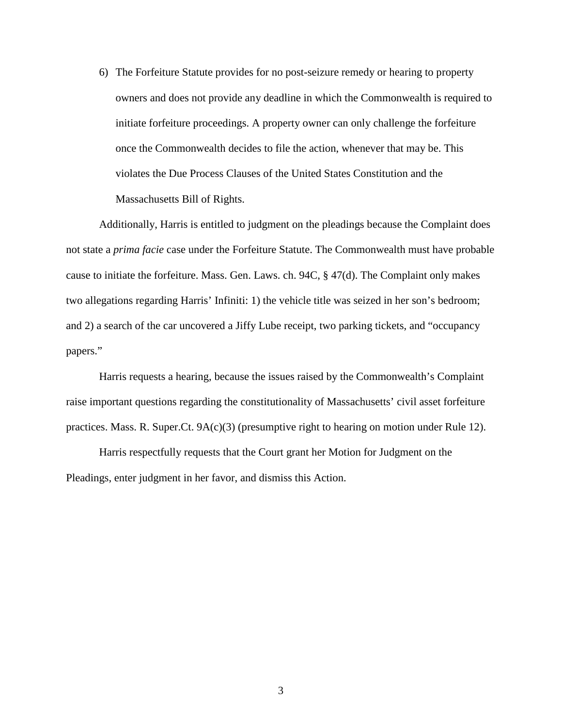6) The Forfeiture Statute provides for no post-seizure remedy or hearing to property owners and does not provide any deadline in which the Commonwealth is required to initiate forfeiture proceedings. A property owner can only challenge the forfeiture once the Commonwealth decides to file the action, whenever that may be. This violates the Due Process Clauses of the United States Constitution and the Massachusetts Bill of Rights.

Additionally, Harris is entitled to judgment on the pleadings because the Complaint does not state a *prima facie* case under the Forfeiture Statute. The Commonwealth must have probable cause to initiate the forfeiture. Mass. Gen. Laws. ch. 94C, § 47(d). The Complaint only makes two allegations regarding Harris' Infiniti: 1) the vehicle title was seized in her son's bedroom; and 2) a search of the car uncovered a Jiffy Lube receipt, two parking tickets, and "occupancy papers."

Harris requests a hearing, because the issues raised by the Commonwealth's Complaint raise important questions regarding the constitutionality of Massachusetts' civil asset forfeiture practices. Mass. R. Super.Ct. 9A(c)(3) (presumptive right to hearing on motion under Rule 12).

Harris respectfully requests that the Court grant her Motion for Judgment on the Pleadings, enter judgment in her favor, and dismiss this Action.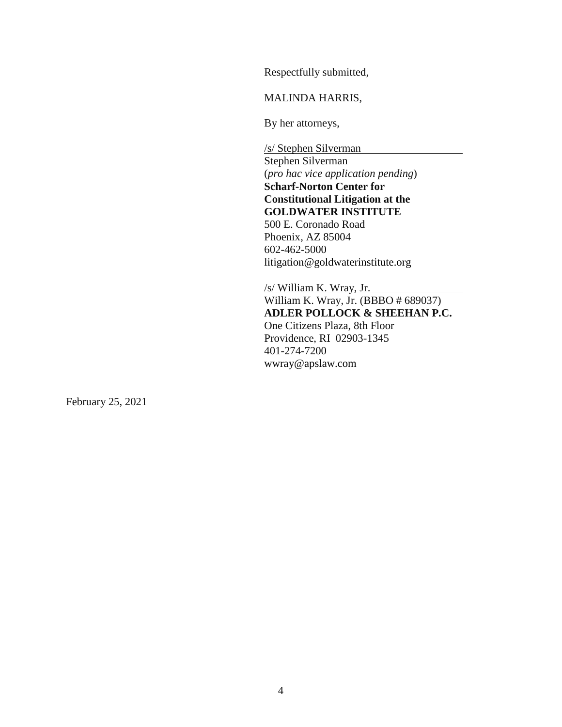Respectfully submitted,

MALINDA HARRIS,

By her attorneys,

/s/ Stephen Silverman Stephen Silverman (*pro hac vice application pending*) **Scharf-Norton Center for Constitutional Litigation at the GOLDWATER INSTITUTE**  500 E. Coronado Road Phoenix, AZ 85004 602-462-5000 litigation@goldwaterinstitute.org

/s/ William K. Wray, Jr. William K. Wray, Jr. (BBBO # 689037) **ADLER POLLOCK & SHEEHAN P.C.** One Citizens Plaza, 8th Floor Providence, RI 02903-1345 401-274-7200 wwray@apslaw.com

February 25, 2021